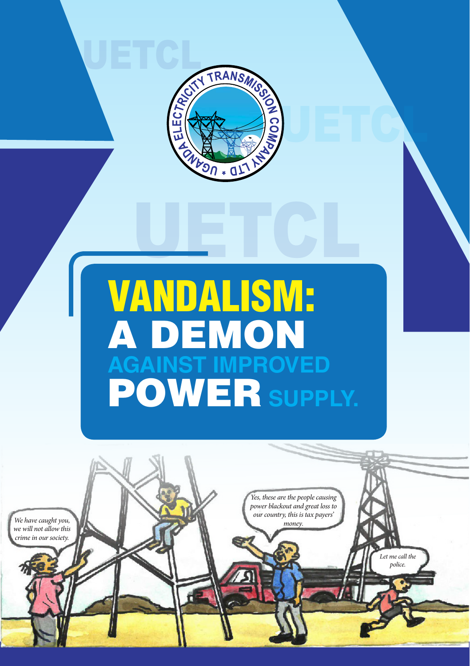

# <u>VANDALISM:</u> A DEMON **AGAINST IMPROVED** POWER **SUPPLY.**

UETCL



*Yes, these are the people causing power blackout and great loss to*  We have caught you, we will not allow this **and the caught you, we will not allow this** *wayers'* 

> *Let me call the police.*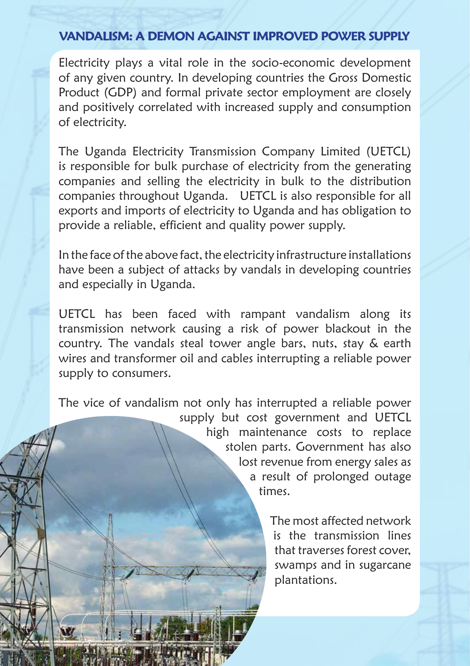#### **VANDALISM: A DEMON AGAINST IMPROVED POWER SUPPLY**

Electricity plays a vital role in the socio-economic development of any given country. In developing countries the Gross Domestic Product (GDP) and formal private sector employment are closely and positively correlated with increased supply and consumption of electricity.

The Uganda Electricity Transmission Company Limited (UETCL) is responsible for bulk purchase of electricity from the generating companies and selling the electricity in bulk to the distribution companies throughout Uganda. UETCL is also responsible for all exports and imports of electricity to Uganda and has obligation to provide a reliable, efficient and quality power supply.

In the face of the above fact, the electricity infrastructure installations have been a subject of attacks by vandals in developing countries and especially in Uganda.

UETCL has been faced with rampant vandalism along its transmission network causing a risk of power blackout in the country. The vandals steal tower angle bars, nuts, stay & earth wires and transformer oil and cables interrupting a reliable power supply to consumers.

The vice of vandalism not only has interrupted a reliable power supply but cost government and UETCL high maintenance costs to replace stolen parts. Government has also lost revenue from energy sales as a result of prolonged outage times.

> The most affected network is the transmission lines that traverses forest cover, swamps and in sugarcane plantations.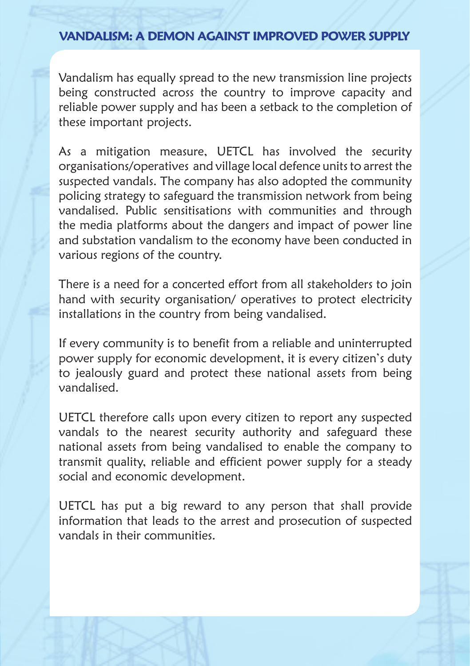#### **VANDALISM: A DEMON AGAINST IMPROVED POWER SUPPLY**

Vandalism has equally spread to the new transmission line projects being constructed across the country to improve capacity and reliable power supply and has been a setback to the completion of these important projects.

As a mitigation measure, UETCL has involved the security organisations/operatives and village local defence units to arrest the suspected vandals. The company has also adopted the community policing strategy to safeguard the transmission network from being vandalised. Public sensitisations with communities and through the media platforms about the dangers and impact of power line and substation vandalism to the economy have been conducted in various regions of the country.

There is a need for a concerted effort from all stakeholders to join hand with security organisation/ operatives to protect electricity installations in the country from being vandalised.

If every community is to benefit from a reliable and uninterrupted power supply for economic development, it is every citizen's duty to jealously guard and protect these national assets from being vandalised.

UETCL therefore calls upon every citizen to report any suspected vandals to the nearest security authority and safeguard these national assets from being vandalised to enable the company to transmit quality, reliable and efficient power supply for a steady social and economic development.

UETCL has put a big reward to any person that shall provide information that leads to the arrest and prosecution of suspected vandals in their communities.